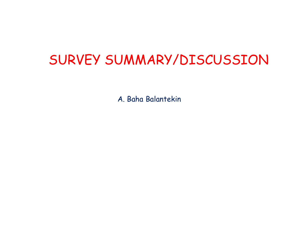## SURVEY SUMMARY/DISCUSSION

A. Baha Balantekin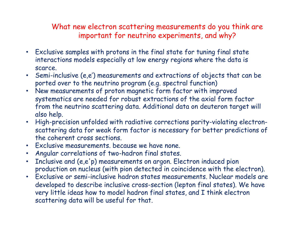## What new electron scattering measurements do you think are important for neutrino experiments, and why?

- Exclusive samples with protons in the final state for tuning final state interactions models especially at low energy regions where the data is scarce.
- Semi-inclusive (e,e') measurements and extractions of objects that can be ported over to the neutrino program (e.g. spectral function)
- New measurements of proton magnetic form factor with improved systematics are needed for robust extractions of the axial form factor from the neutrino scattering data. Additional data on deuteron target will also help.
- High-precision unfolded with radiative corrections parity-violating electronscattering data for weak form factor is necessary for better predictions of the coherent cross sections.
- Exclusive measurements. because we have none.
- Angular correlations of two-hadron final states.
- Inclusive and (e,e'p) measurements on argon. Electron induced pion production on nucleus (with pion detected in coincidence with the electron).
- Exclusive or semi-inclusive hadron states measurements. Nuclear models are developed to describe inclusive cross-section (lepton final states). We have very little ideas how to model hadron final states, and I think electron scattering data will be useful for that.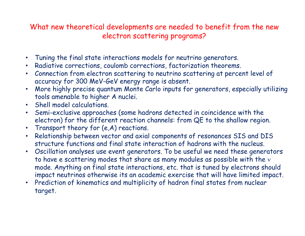## What new theoretical developments are needed to benefit from the new electron scattering programs?

- Tuning the final state interactions models for neutrino generators.
- Radiative corrections, coulomb corrections, factorization theorems.
- Connection from electron scattering to neutrino scattering at percent level of accuracy for 300 MeV-GeV energy range is absent.
- More highly precise quantum Monte Carlo inputs for generators, especially utilizing tools amenable to higher A nuclei.
- Shell model calculations.
- Semi-exclusive approaches (some hadrons detected in coincidence with the electron) for the different reaction channels: from QE to the shallow region.
- Transport theory for (e,A) reactions.
- Relationship between vector and axial components of resonances SIS and DIS structure functions and final state interaction of hadrons with the nucleus.
- Oscillation analyses use event generators. To be useful we need these generators to have e scattering modes that share as many modules as possible with the  $v$ mode. Anything on final state interactions, etc. that is tuned by electrons should impact neutrinos otherwise its an academic exercise that will have limited impact.
- Prediction of kinematics and multiplicity of hadron final states from nuclear target.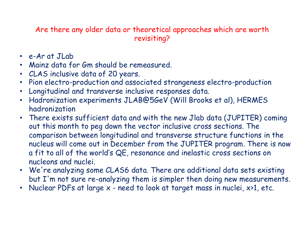Are there any older data or theoretical approaches which are worth revisiting?

- e-Ar at JLab
- Mainz data for Gm should be remeasured.
- CLAS inclusive data of 20 years.
- Pion electro-production and associated strangeness electro-production
- Longitudinal and transverse inclusive responses data.
- Hadronization experiments JLAB@5GeV (Will Brooks et al), HERMES hadronization
- There exists sufficient data and with the new Jlab data (JUPITER) coming out this month to peg down the vector inclusive cross sections. The comparison between longitudinal and transverse structure functions in the nucleus will come out in December from the JUPITER program. There is now a fit to all of the world's QE, resonance and inelastic cross sections on nucleons and nuclei.
- We're analyzing some CLAS6 data. There are additional data sets existing but I'm not sure re-analyzing them is simpler then doing new measurements.
- Nuclear PDFs at large x need to look at target mass in nuclei, x>1, etc.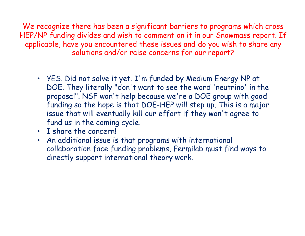We recognize there has been a significant barriers to programs which cross HEP/NP funding divides and wish to comment on it in our Snowmass report. If applicable, have you encountered these issues and do you wish to share any solutions and/or raise concerns for our report?

- YES. Did not solve it yet. I'm funded by Medium Energy NP at DOE. They literally "don't want to see the word 'neutrino' in the proposal". NSF won't help because we're a DOE group with good funding so the hope is that DOE-HEP will step up. This is a major issue that will eventually kill our effort if they won't agree to fund us in the coming cycle.
- I share the concern!
- An additional issue is that programs with international collaboration face funding problems, Fermilab must find ways to directly support international theory work.